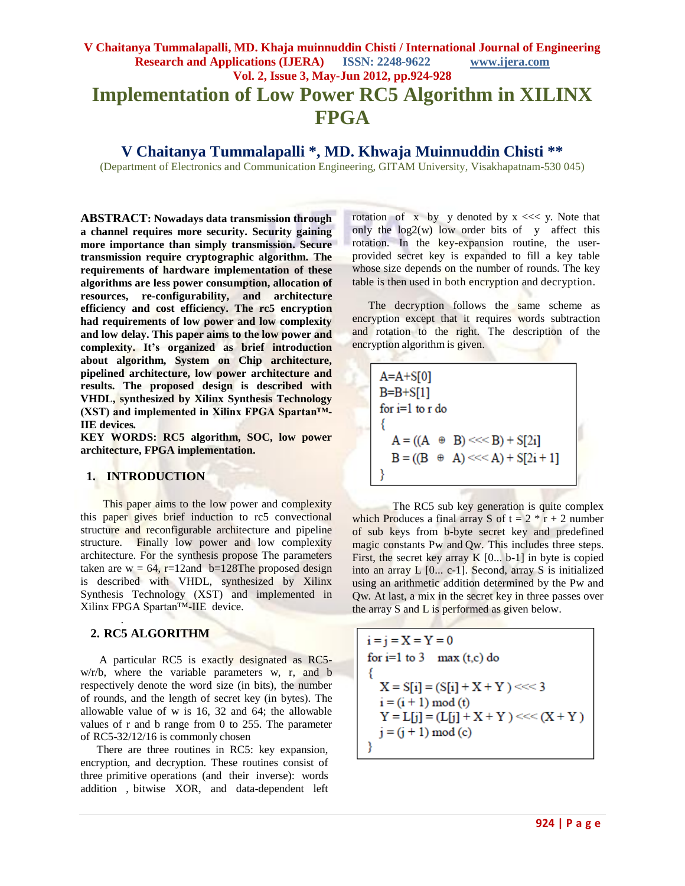# **V Chaitanya Tummalapalli, MD. Khaja muinnuddin Chisti / International Journal of Engineering Research and Applications (IJERA) ISSN: 2248-9622 www.ijera.com Vol. 2, Issue 3, May-Jun 2012, pp.924-928 Implementation of Low Power RC5 Algorithm in XILINX FPGA**

**V Chaitanya Tummalapalli \* , MD. Khwaja Muinnuddin Chisti \*\***

(Department of Electronics and Communication Engineering, GITAM University, Visakhapatnam-530 045)

**ABSTRACT: Nowadays data transmission through a channel requires more security. Security gaining more importance than simply transmission. Secure transmission require cryptographic algorithm. The requirements of hardware implementation of these algorithms are less power consumption, allocation of resources, re-configurability, and architecture efficiency and cost efficiency. The rc5 encryption had requirements of low power and low complexity and low delay. This paper aims to the low power and complexity. It's organized as brief introduction about algorithm, System on Chip architecture, pipelined architecture, low power architecture and results. The proposed design is described with VHDL, synthesized by Xilinx Synthesis Technology (XST) and implemented in Xilinx FPGA Spartan™- IIE devices***.*

**KEY WORDS: RC5 algorithm, SOC, low power architecture, FPGA implementation.**

#### **1. INTRODUCTION**

 This paper aims to the low power and complexity this paper gives brief induction to rc5 convectional structure and reconfigurable architecture and pipeline structure. Finally low power and low complexity architecture. For the synthesis propose The parameters taken are w =  $64$ , r=12and b=128The proposed design is described with VHDL, synthesized by Xilinx Synthesis Technology (XST) and implemented in Xilinx FPGA Spartan™-IIE device.

#### **2. RC5 ALGORITHM**

.

A particular RC5 is exactly designated as RC5 w/r/b, where the variable parameters w, r, and b respectively denote the word size (in bits), the number of rounds, and the length of secret key (in bytes). The allowable value of w is 16, 32 and 64; the allowable values of r and b range from 0 to 255. The parameter of RC5-32/12/16 is commonly chosen

There are three routines in RC5: key expansion, encryption, and decryption. These routines consist of three primitive operations (and their inverse): words addition , bitwise XOR, and data-dependent left

rotation of x by y denoted by  $x \ll y$ . Note that only the  $log2(w)$  low order bits of y affect this rotation. In the key-expansion routine, the userprovided secret key is expanded to fill a key table whose size depends on the number of rounds. The key table is then used in both encryption and decryption.

The decryption follows the same scheme as encryption except that it requires words subtraction and rotation to the right. The description of the encryption algorithm is given.

 $A=A+S[0]$  $B=B+S[1]$ for  $i=1$  to  $r$  do  $A = ((A \oplus B) \ll B) + S[2i]$  $B = ((B \oplus A) \ll A) + S[2i + 1]$ 

The RC5 sub key generation is quite complex which Produces a final array S of  $t = 2 * r + 2$  number of sub keys from b-byte secret key and predefined magic constants Pw and Qw. This includes three steps. First, the secret key array K [0... b-1] in byte is copied into an array L [0... c-1]. Second, array S is initialized using an arithmetic addition determined by the Pw and Qw. At last, a mix in the secret key in three passes over the array S and L is performed as given below.

$$
i = j = X = Y = 0
$$
  
for i=1 to 3 max (t,c) do  
{  

$$
X = S[i] = (S[i] + X + Y) < << 3
$$
  

$$
i = (i + 1) mod (t)
$$
  

$$
Y = L[j] = (L[j] + X + Y) < << (X + Y)
$$
  

$$
j = (j + 1) mod (c)
$$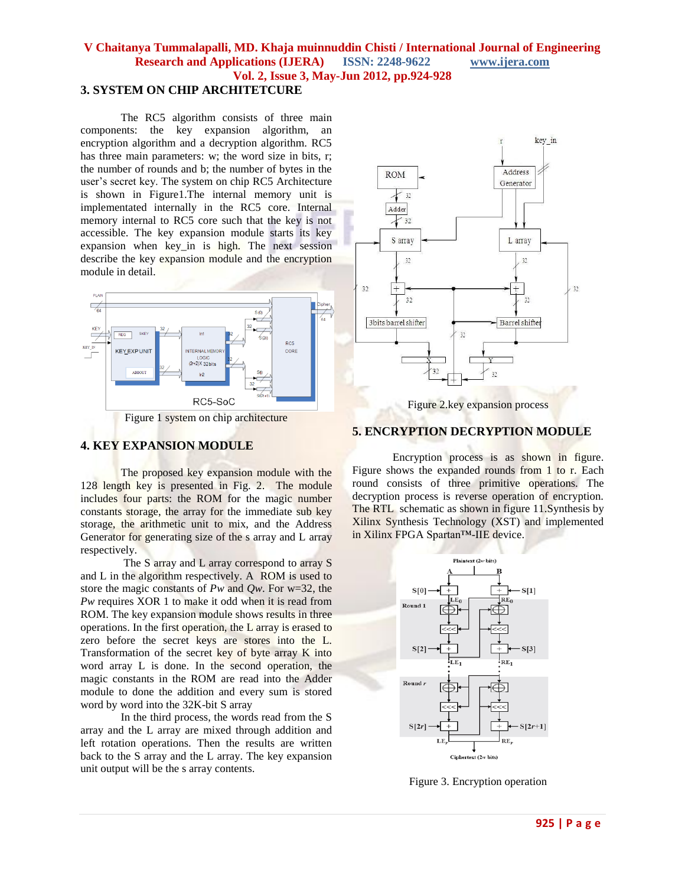#### **V Chaitanya Tummalapalli, MD. Khaja muinnuddin Chisti / International Journal of Engineering Research and Applications (IJERA) ISSN: 2248-9622 www.ijera.com Vol. 2, Issue 3, May-Jun 2012, pp.924-928 3. SYSTEM ON CHIP ARCHITETCURE**

The RC5 algorithm consists of three main components: the key expansion algorithm, an encryption algorithm and a decryption algorithm. RC5 has three main parameters: w; the word size in bits, r; the number of rounds and b; the number of bytes in the user's secret key. The system on chip RC5 Architecture is shown in Figure1.The internal memory unit is implementated internally in the RC5 core. Internal memory internal to RC5 core such that the key is not accessible. The key expansion module starts its key expansion when key\_in is high. The next session describe the key expansion module and the encryption module in detail.





## **4. KEY EXPANSION MODULE**

The proposed key expansion module with the 128 length key is presented in Fig. 2. The module includes four parts: the ROM for the magic number constants storage, the array for the immediate sub key storage, the arithmetic unit to mix, and the Address Generator for generating size of the s array and L array respectively.

The S array and L array correspond to array S and L in the algorithm respectively. A ROM is used to store the magic constants of *Pw* and *Qw*. For w=32, the *Pw* requires XOR 1 to make it odd when it is read from ROM. The key expansion module shows results in three operations. In the first operation, the L array is erased to zero before the secret keys are stores into the L. Transformation of the secret key of byte array K into word array L is done. In the second operation, the magic constants in the ROM are read into the Adder module to done the addition and every sum is stored word by word into the 32K-bit S array

In the third process, the words read from the S array and the L array are mixed through addition and left rotation operations. Then the results are written back to the S array and the L array. The key expansion unit output will be the s array contents.



#### **5. ENCRYPTION DECRYPTION MODULE**

Encryption process is as shown in figure. Figure shows the expanded rounds from 1 to r. Each round consists of three primitive operations. The decryption process is reverse operation of encryption. The RTL schematic as shown in figure 11.Synthesis by Xilinx Synthesis Technology (XST) and implemented in Xilinx FPGA Spartan™-IIE device.



Figure 3. Encryption operation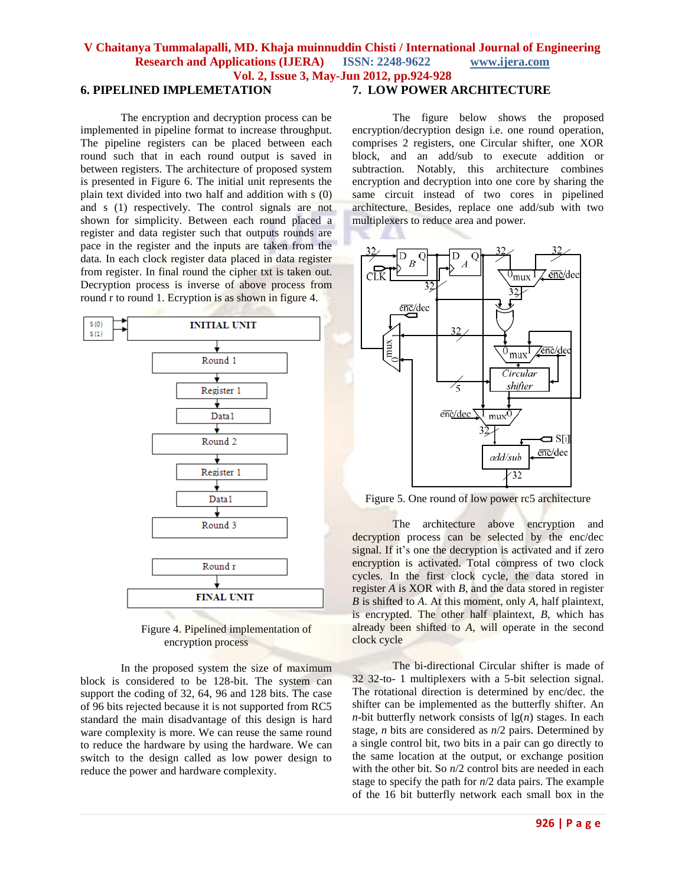## **V Chaitanya Tummalapalli, MD. Khaja muinnuddin Chisti / International Journal of Engineering Research and Applications (IJERA) ISSN: 2248-9622 www.ijera.com Vol. 2, Issue 3, May-Jun 2012, pp.924-928**

### **6. PIPELINED IMPLEMETATION**

The encryption and decryption process can be implemented in pipeline format to increase throughput. The pipeline registers can be placed between each round such that in each round output is saved in between registers. The architecture of proposed system is presented in Figure 6. The initial unit represents the plain text divided into two half and addition with s (0) and s (1) respectively. The control signals are not shown for simplicity. Between each round placed a register and data register such that outputs rounds are pace in the register and the inputs are taken from the data. In each clock register data placed in data register from register. In final round the cipher txt is taken out. Decryption process is inverse of above process from round r to round 1. Ecryption is as shown in figure 4.



Figure 4. Pipelined implementation of encryption process

In the proposed system the size of maximum block is considered to be 128-bit. The system can support the coding of 32, 64, 96 and 128 bits. The case of 96 bits rejected because it is not supported from RC5 standard the main disadvantage of this design is hard ware complexity is more. We can reuse the same round to reduce the hardware by using the hardware. We can switch to the design called as low power design to reduce the power and hardware complexity.

## **7. LOW POWER ARCHITECTURE**

The figure below shows the proposed encryption/decryption design i.e. one round operation, comprises 2 registers, one Circular shifter, one XOR block, and an add/sub to execute addition or subtraction. Notably, this architecture combines encryption and decryption into one core by sharing the same circuit instead of two cores in pipelined architecture. Besides, replace one add/sub with two multiplexers to reduce area and power.



Figure 5. One round of low power rc5 architecture

The architecture above encryption and decryption process can be selected by the enc/dec signal. If it's one the decryption is activated and if zero encryption is activated. Total compress of two clock cycles. In the first clock cycle, the data stored in register *A* is XOR with *B*, and the data stored in register *B* is shifted to *A*. At this moment, only *A*, half plaintext, is encrypted. The other half plaintext, *B*, which has already been shifted to *A*, will operate in the second clock cycle

The bi-directional Circular shifter is made of 32 32-to- 1 multiplexers with a 5-bit selection signal. The rotational direction is determined by enc/dec. the shifter can be implemented as the butterfly shifter. An *n*-bit butterfly network consists of  $\lg(n)$  stages. In each stage, *n* bits are considered as *n*/2 pairs. Determined by a single control bit, two bits in a pair can go directly to the same location at the output, or exchange position with the other bit. So  $n/2$  control bits are needed in each stage to specify the path for *n*/2 data pairs. The example of the 16 bit butterfly network each small box in the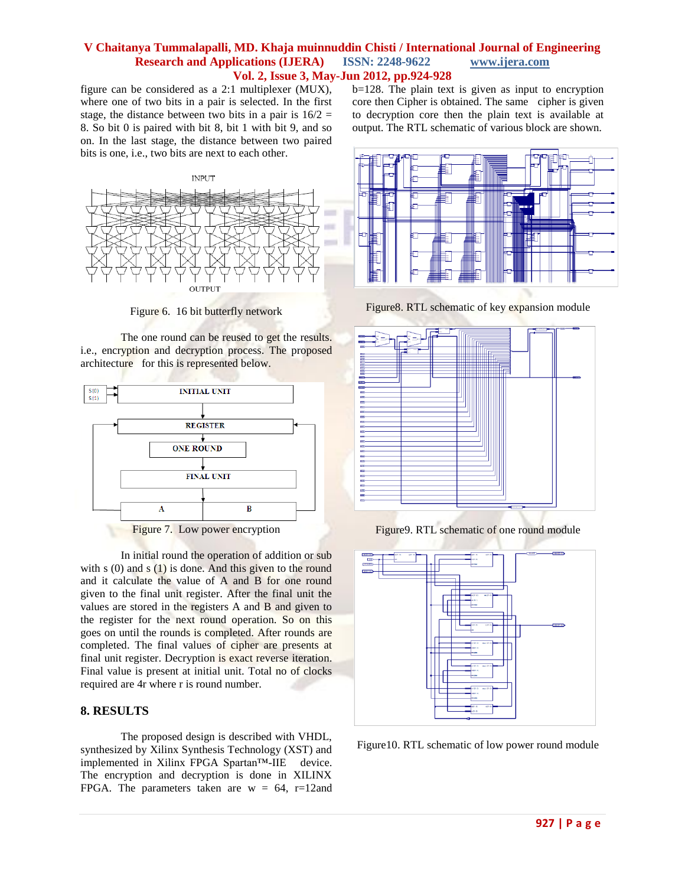#### **V Chaitanya Tummalapalli, MD. Khaja muinnuddin Chisti / International Journal of Engineering Research and Applications (IJERA) ISSN: 2248-9622 www.ijera.com Vol. 2, Issue 3, May-Jun 2012, pp.924-928**

figure can be considered as a 2:1 multiplexer (MUX), where one of two bits in a pair is selected. In the first stage, the distance between two bits in a pair is  $16/2 =$ 8. So bit 0 is paired with bit 8, bit 1 with bit 9, and so on. In the last stage, the distance between two paired bits is one, i.e., two bits are next to each other.



Figure 6. 16 bit butterfly network

The one round can be reused to get the results. i.e., encryption and decryption process. The proposed architecture for this is represented below.



In initial round the operation of addition or sub with s  $(0)$  and s  $(1)$  is done. And this given to the round and it calculate the value of A and B for one round given to the final unit register. After the final unit the values are stored in the registers A and B and given to the register for the next round operation. So on this goes on until the rounds is completed. After rounds are completed. The final values of cipher are presents at final unit register. Decryption is exact reverse iteration. Final value is present at initial unit. Total no of clocks required are 4r where r is round number.

### **8. RESULTS**

The proposed design is described with VHDL, synthesized by Xilinx Synthesis Technology (XST) and implemented in Xilinx FPGA Spartan™-IIE device. The encryption and decryption is done in XILINX FPGA. The parameters taken are  $w = 64$ , r=12and b=128. The plain text is given as input to encryption core then Cipher is obtained. The same cipher is given to decryption core then the plain text is available at output. The RTL schematic of various block are shown.



Figure8. RTL schematic of key expansion module



Figure9. RTL schematic of one round module



Figure10. RTL schematic of low power round module